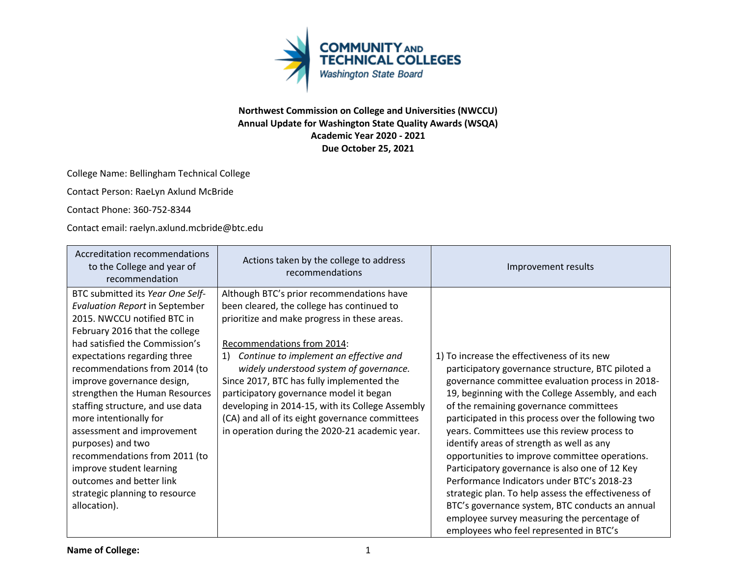

## **Northwest Commission on College and Universities (NWCCU) Annual Update for Washington State Quality Awards (WSQA) Academic Year 2020 - 2021 Due October 25, 2021**

College Name: Bellingham Technical College

Contact Person: RaeLyn Axlund McBride

Contact Phone: 360-752-8344

Contact email: raelyn.axlund.mcbride@btc.edu

| Accreditation recommendations<br>to the College and year of<br>recommendation                                                                                                                                                                                                                                                                                                                                                                                                                                                                                             | Actions taken by the college to address<br>recommendations                                                                                                                                                                                                                                                                                                                                                                                                                                                     | Improvement results                                                                                                                                                                                                                                                                                                                                                                                                                                                                                                                                                                                                                                                                                                                                           |
|---------------------------------------------------------------------------------------------------------------------------------------------------------------------------------------------------------------------------------------------------------------------------------------------------------------------------------------------------------------------------------------------------------------------------------------------------------------------------------------------------------------------------------------------------------------------------|----------------------------------------------------------------------------------------------------------------------------------------------------------------------------------------------------------------------------------------------------------------------------------------------------------------------------------------------------------------------------------------------------------------------------------------------------------------------------------------------------------------|---------------------------------------------------------------------------------------------------------------------------------------------------------------------------------------------------------------------------------------------------------------------------------------------------------------------------------------------------------------------------------------------------------------------------------------------------------------------------------------------------------------------------------------------------------------------------------------------------------------------------------------------------------------------------------------------------------------------------------------------------------------|
| BTC submitted its Year One Self-<br><b>Evaluation Report in September</b><br>2015. NWCCU notified BTC in<br>February 2016 that the college<br>had satisfied the Commission's<br>expectations regarding three<br>recommendations from 2014 (to<br>improve governance design,<br>strengthen the Human Resources<br>staffing structure, and use data<br>more intentionally for<br>assessment and improvement<br>purposes) and two<br>recommendations from 2011 (to<br>improve student learning<br>outcomes and better link<br>strategic planning to resource<br>allocation). | Although BTC's prior recommendations have<br>been cleared, the college has continued to<br>prioritize and make progress in these areas.<br>Recommendations from 2014:<br>1) Continue to implement an effective and<br>widely understood system of governance.<br>Since 2017, BTC has fully implemented the<br>participatory governance model it began<br>developing in 2014-15, with its College Assembly<br>(CA) and all of its eight governance committees<br>in operation during the 2020-21 academic year. | 1) To increase the effectiveness of its new<br>participatory governance structure, BTC piloted a<br>governance committee evaluation process in 2018-<br>19, beginning with the College Assembly, and each<br>of the remaining governance committees<br>participated in this process over the following two<br>years. Committees use this review process to<br>identify areas of strength as well as any<br>opportunities to improve committee operations.<br>Participatory governance is also one of 12 Key<br>Performance Indicators under BTC's 2018-23<br>strategic plan. To help assess the effectiveness of<br>BTC's governance system, BTC conducts an annual<br>employee survey measuring the percentage of<br>employees who feel represented in BTC's |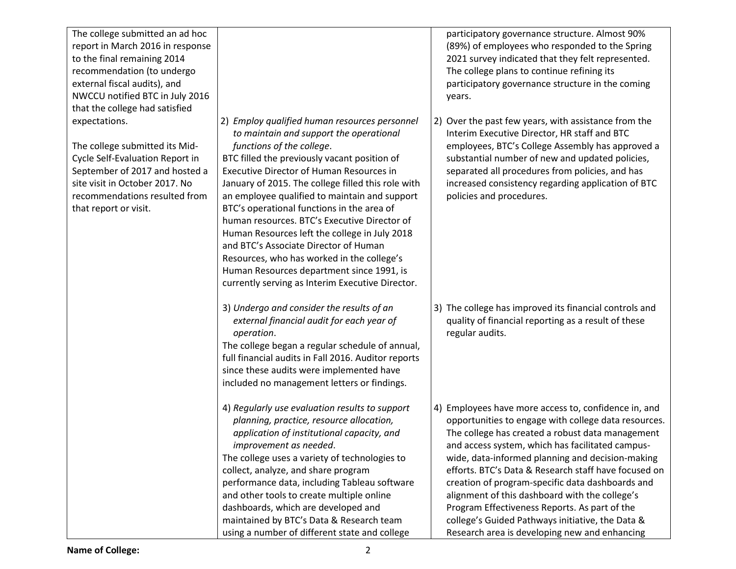| The college submitted an ad hoc<br>report in March 2016 in response<br>to the final remaining 2014<br>recommendation (to undergo<br>external fiscal audits), and<br>NWCCU notified BTC in July 2016<br>that the college had satisfied |                                                                                                                                                                                                                                                                                                                                                                                                                                                                                                                                                                                                                                                                        | participatory governance structure. Almost 90%<br>(89%) of employees who responded to the Spring<br>2021 survey indicated that they felt represented.<br>The college plans to continue refining its<br>participatory governance structure in the coming<br>years.                                                                                                                                                                                                                                                                                                                            |
|---------------------------------------------------------------------------------------------------------------------------------------------------------------------------------------------------------------------------------------|------------------------------------------------------------------------------------------------------------------------------------------------------------------------------------------------------------------------------------------------------------------------------------------------------------------------------------------------------------------------------------------------------------------------------------------------------------------------------------------------------------------------------------------------------------------------------------------------------------------------------------------------------------------------|----------------------------------------------------------------------------------------------------------------------------------------------------------------------------------------------------------------------------------------------------------------------------------------------------------------------------------------------------------------------------------------------------------------------------------------------------------------------------------------------------------------------------------------------------------------------------------------------|
| expectations.<br>The college submitted its Mid-<br>Cycle Self-Evaluation Report in<br>September of 2017 and hosted a<br>site visit in October 2017. No<br>recommendations resulted from<br>that report or visit.                      | 2) Employ qualified human resources personnel<br>to maintain and support the operational<br>functions of the college.<br>BTC filled the previously vacant position of<br><b>Executive Director of Human Resources in</b><br>January of 2015. The college filled this role with<br>an employee qualified to maintain and support<br>BTC's operational functions in the area of<br>human resources. BTC's Executive Director of<br>Human Resources left the college in July 2018<br>and BTC's Associate Director of Human<br>Resources, who has worked in the college's<br>Human Resources department since 1991, is<br>currently serving as Interim Executive Director. | 2) Over the past few years, with assistance from the<br>Interim Executive Director, HR staff and BTC<br>employees, BTC's College Assembly has approved a<br>substantial number of new and updated policies,<br>separated all procedures from policies, and has<br>increased consistency regarding application of BTC<br>policies and procedures.                                                                                                                                                                                                                                             |
|                                                                                                                                                                                                                                       | 3) Undergo and consider the results of an<br>external financial audit for each year of<br>operation.<br>The college began a regular schedule of annual,<br>full financial audits in Fall 2016. Auditor reports<br>since these audits were implemented have<br>included no management letters or findings.                                                                                                                                                                                                                                                                                                                                                              | 3) The college has improved its financial controls and<br>quality of financial reporting as a result of these<br>regular audits.                                                                                                                                                                                                                                                                                                                                                                                                                                                             |
|                                                                                                                                                                                                                                       | 4) Regularly use evaluation results to support<br>planning, practice, resource allocation,<br>application of institutional capacity, and<br>improvement as needed.<br>The college uses a variety of technologies to<br>collect, analyze, and share program<br>performance data, including Tableau software<br>and other tools to create multiple online<br>dashboards, which are developed and<br>maintained by BTC's Data & Research team<br>using a number of different state and college                                                                                                                                                                            | 4) Employees have more access to, confidence in, and<br>opportunities to engage with college data resources.<br>The college has created a robust data management<br>and access system, which has facilitated campus-<br>wide, data-informed planning and decision-making<br>efforts. BTC's Data & Research staff have focused on<br>creation of program-specific data dashboards and<br>alignment of this dashboard with the college's<br>Program Effectiveness Reports. As part of the<br>college's Guided Pathways initiative, the Data &<br>Research area is developing new and enhancing |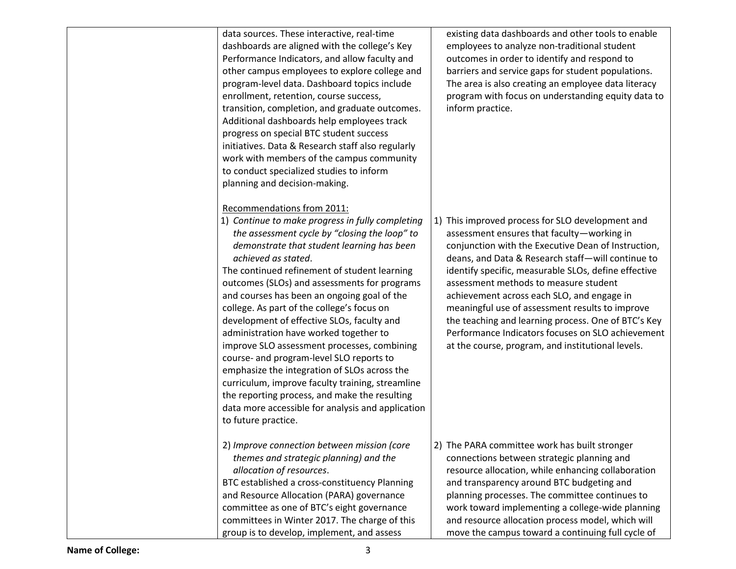| data sources. These interactive, real-time<br>dashboards are aligned with the college's Key<br>Performance Indicators, and allow faculty and<br>other campus employees to explore college and<br>program-level data. Dashboard topics include<br>enrollment, retention, course success,<br>transition, completion, and graduate outcomes.<br>Additional dashboards help employees track<br>progress on special BTC student success<br>initiatives. Data & Research staff also regularly<br>work with members of the campus community<br>to conduct specialized studies to inform                                                                                                                                                                                                                                                                       | existing data dashboards and other tools to enable<br>employees to analyze non-traditional student<br>outcomes in order to identify and respond to<br>barriers and service gaps for student populations.<br>The area is also creating an employee data literacy<br>program with focus on understanding equity data to<br>inform practice.                                                                                                                                                                                                                                     |
|--------------------------------------------------------------------------------------------------------------------------------------------------------------------------------------------------------------------------------------------------------------------------------------------------------------------------------------------------------------------------------------------------------------------------------------------------------------------------------------------------------------------------------------------------------------------------------------------------------------------------------------------------------------------------------------------------------------------------------------------------------------------------------------------------------------------------------------------------------|-------------------------------------------------------------------------------------------------------------------------------------------------------------------------------------------------------------------------------------------------------------------------------------------------------------------------------------------------------------------------------------------------------------------------------------------------------------------------------------------------------------------------------------------------------------------------------|
| planning and decision-making.<br>Recommendations from 2011:<br>1) Continue to make progress in fully completing<br>the assessment cycle by "closing the loop" to<br>demonstrate that student learning has been<br>achieved as stated.<br>The continued refinement of student learning<br>outcomes (SLOs) and assessments for programs<br>and courses has been an ongoing goal of the<br>college. As part of the college's focus on<br>development of effective SLOs, faculty and<br>administration have worked together to<br>improve SLO assessment processes, combining<br>course- and program-level SLO reports to<br>emphasize the integration of SLOs across the<br>curriculum, improve faculty training, streamline<br>the reporting process, and make the resulting<br>data more accessible for analysis and application<br>to future practice. | 1) This improved process for SLO development and<br>assessment ensures that faculty-working in<br>conjunction with the Executive Dean of Instruction,<br>deans, and Data & Research staff-will continue to<br>identify specific, measurable SLOs, define effective<br>assessment methods to measure student<br>achievement across each SLO, and engage in<br>meaningful use of assessment results to improve<br>the teaching and learning process. One of BTC's Key<br>Performance Indicators focuses on SLO achievement<br>at the course, program, and institutional levels. |
| 2) Improve connection between mission (core<br>themes and strategic planning) and the<br>allocation of resources.<br>BTC established a cross-constituency Planning<br>and Resource Allocation (PARA) governance<br>committee as one of BTC's eight governance<br>committees in Winter 2017. The charge of this<br>group is to develop, implement, and assess                                                                                                                                                                                                                                                                                                                                                                                                                                                                                           | 2) The PARA committee work has built stronger<br>connections between strategic planning and<br>resource allocation, while enhancing collaboration<br>and transparency around BTC budgeting and<br>planning processes. The committee continues to<br>work toward implementing a college-wide planning<br>and resource allocation process model, which will<br>move the campus toward a continuing full cycle of                                                                                                                                                                |